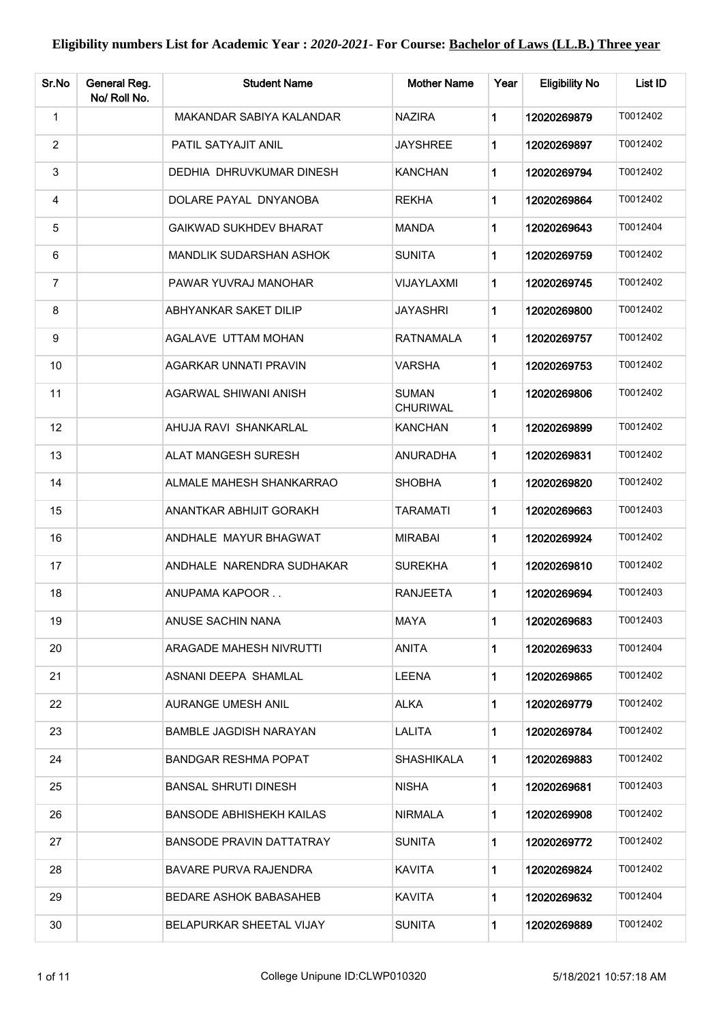| Sr.No          | General Reg.<br>No/ Roll No. | <b>Student Name</b>             | <b>Mother Name</b>              | Year        | <b>Eligibility No</b> | List ID  |
|----------------|------------------------------|---------------------------------|---------------------------------|-------------|-----------------------|----------|
| $\mathbf{1}$   |                              | MAKANDAR SABIYA KALANDAR        | <b>NAZIRA</b>                   | 1           | 12020269879           | T0012402 |
| $\overline{2}$ |                              | PATIL SATYAJIT ANIL             | <b>JAYSHREE</b>                 | 1           | 12020269897           | T0012402 |
| $\sqrt{3}$     |                              | DEDHIA DHRUVKUMAR DINESH        | <b>KANCHAN</b>                  | 1           | 12020269794           | T0012402 |
| 4              |                              | DOLARE PAYAL DNYANOBA           | <b>REKHA</b>                    | 1           | 12020269864           | T0012402 |
| 5              |                              | <b>GAIKWAD SUKHDEV BHARAT</b>   | <b>MANDA</b>                    | 1           | 12020269643           | T0012404 |
| 6              |                              | MANDLIK SUDARSHAN ASHOK         | <b>SUNITA</b>                   | 1           | 12020269759           | T0012402 |
| $\overline{7}$ |                              | PAWAR YUVRAJ MANOHAR            | <b>VIJAYLAXMI</b>               | 1           | 12020269745           | T0012402 |
| 8              |                              | ABHYANKAR SAKET DILIP           | <b>JAYASHRI</b>                 | 1           | 12020269800           | T0012402 |
| 9              |                              | AGALAVE UTTAM MOHAN             | <b>RATNAMALA</b>                | 1           | 12020269757           | T0012402 |
| 10             |                              | AGARKAR UNNATI PRAVIN           | <b>VARSHA</b>                   | 1           | 12020269753           | T0012402 |
| 11             |                              | AGARWAL SHIWANI ANISH           | <b>SUMAN</b><br><b>CHURIWAL</b> | 1           | 12020269806           | T0012402 |
| 12             |                              | AHUJA RAVI SHANKARLAL           | <b>KANCHAN</b>                  | 1           | 12020269899           | T0012402 |
| 13             |                              | ALAT MANGESH SURESH             | ANURADHA                        | 1           | 12020269831           | T0012402 |
| 14             |                              | ALMALE MAHESH SHANKARRAO        | <b>SHOBHA</b>                   | 1           | 12020269820           | T0012402 |
| 15             |                              | ANANTKAR ABHIJIT GORAKH         | TARAMATI                        | 1           | 12020269663           | T0012403 |
| 16             |                              | ANDHALE MAYUR BHAGWAT           | <b>MIRABAI</b>                  | 1           | 12020269924           | T0012402 |
| 17             |                              | ANDHALE NARENDRA SUDHAKAR       | <b>SUREKHA</b>                  | 1           | 12020269810           | T0012402 |
| 18             |                              | ANUPAMA KAPOOR                  | <b>RANJEETA</b>                 | 1           | 12020269694           | T0012403 |
| 19             |                              | ANUSE SACHIN NANA               | MAYA                            | 1           | 12020269683           | T0012403 |
| 20             |                              | ARAGADE MAHESH NIVRUTTI         | ANITA                           | 1           | 12020269633           | T0012404 |
| 21             |                              | ASNANI DEEPA SHAMLAL            | <b>LEENA</b>                    | 1           | 12020269865           | T0012402 |
| 22             |                              | AURANGE UMESH ANIL              | <b>ALKA</b>                     | 1           | 12020269779           | T0012402 |
| 23             |                              | BAMBLE JAGDISH NARAYAN          | LALITA                          | 1           | 12020269784           | T0012402 |
| 24             |                              | <b>BANDGAR RESHMA POPAT</b>     | <b>SHASHIKALA</b>               | 1           | 12020269883           | T0012402 |
| 25             |                              | <b>BANSAL SHRUTI DINESH</b>     | <b>NISHA</b>                    | 1           | 12020269681           | T0012403 |
| 26             |                              | <b>BANSODE ABHISHEKH KAILAS</b> | <b>NIRMALA</b>                  | 1           | 12020269908           | T0012402 |
| 27             |                              | <b>BANSODE PRAVIN DATTATRAY</b> | <b>SUNITA</b>                   | 1           | 12020269772           | T0012402 |
| 28             |                              | <b>BAVARE PURVA RAJENDRA</b>    | <b>KAVITA</b>                   | $\mathbf 1$ | 12020269824           | T0012402 |
| 29             |                              | BEDARE ASHOK BABASAHEB          | <b>KAVITA</b>                   | 1           | 12020269632           | T0012404 |
| 30             |                              | BELAPURKAR SHEETAL VIJAY        | <b>SUNITA</b>                   | 1.          | 12020269889           | T0012402 |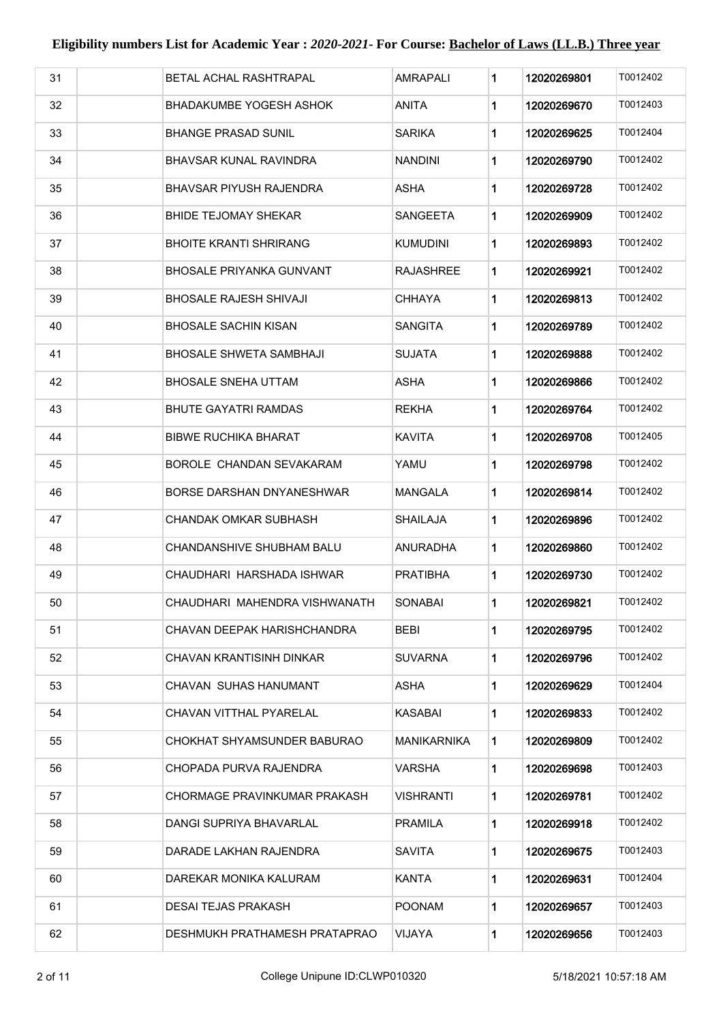| 31 | BETAL ACHAL RASHTRAPAL          | <b>AMRAPALI</b> | 1 | 12020269801 | T0012402 |
|----|---------------------------------|-----------------|---|-------------|----------|
| 32 | BHADAKUMBE YOGESH ASHOK         | ANITA           | 1 | 12020269670 | T0012403 |
| 33 | <b>BHANGE PRASAD SUNIL</b>      | <b>SARIKA</b>   | 1 | 12020269625 | T0012404 |
| 34 | <b>BHAVSAR KUNAL RAVINDRA</b>   | <b>NANDINI</b>  | 1 | 12020269790 | T0012402 |
| 35 | <b>BHAVSAR PIYUSH RAJENDRA</b>  | <b>ASHA</b>     | 1 | 12020269728 | T0012402 |
| 36 | <b>BHIDE TEJOMAY SHEKAR</b>     | <b>SANGEETA</b> | 1 | 12020269909 | T0012402 |
| 37 | <b>BHOITE KRANTI SHRIRANG</b>   | <b>KUMUDINI</b> | 1 | 12020269893 | T0012402 |
| 38 | <b>BHOSALE PRIYANKA GUNVANT</b> | RAJASHREE       | 1 | 12020269921 | T0012402 |
| 39 | BHOSALE RAJESH SHIVAJI          | CHHAYA          | 1 | 12020269813 | T0012402 |
| 40 | <b>BHOSALE SACHIN KISAN</b>     | SANGITA         | 1 | 12020269789 | T0012402 |
| 41 | <b>BHOSALE SHWETA SAMBHAJI</b>  | SUJATA          | 1 | 12020269888 | T0012402 |
| 42 | <b>BHOSALE SNEHA UTTAM</b>      | ASHA            | 1 | 12020269866 | T0012402 |
| 43 | BHUTE GAYATRI RAMDAS            | <b>REKHA</b>    | 1 | 12020269764 | T0012402 |
| 44 | <b>BIBWE RUCHIKA BHARAT</b>     | KAVITA          | 1 | 12020269708 | T0012405 |
| 45 | BOROLE CHANDAN SEVAKARAM        | YAMU            | 1 | 12020269798 | T0012402 |
| 46 | BORSE DARSHAN DNYANESHWAR       | MANGALA         | 1 | 12020269814 | T0012402 |
| 47 | CHANDAK OMKAR SUBHASH           | SHAILAJA        | 1 | 12020269896 | T0012402 |
| 48 | CHANDANSHIVE SHUBHAM BALU       | ANURADHA        | 1 | 12020269860 | T0012402 |
| 49 | CHAUDHARI HARSHADA ISHWAR       | PRATIBHA        | 1 | 12020269730 | T0012402 |
| 50 | CHAUDHARI MAHENDRA VISHWANATH   | <b>SONABAI</b>  | 1 | 12020269821 | T0012402 |
| 51 | CHAVAN DEEPAK HARISHCHANDRA     | <b>BEBI</b>     | 1 | 12020269795 | T0012402 |
| 52 | CHAVAN KRANTISINH DINKAR        | SUVARNA         | 1 | 12020269796 | T0012402 |
| 53 | CHAVAN SUHAS HANUMANT           | ASHA            | 1 | 12020269629 | T0012404 |
| 54 | CHAVAN VITTHAL PYARELAL         | KASABAI         | 1 | 12020269833 | T0012402 |
| 55 | CHOKHAT SHYAMSUNDER BABURAO     | MANIKARNIKA     | 1 | 12020269809 | T0012402 |
| 56 | CHOPADA PURVA RAJENDRA          | VARSHA          | 1 | 12020269698 | T0012403 |
| 57 | CHORMAGE PRAVINKUMAR PRAKASH    | VISHRANTI       | 1 | 12020269781 | T0012402 |
| 58 | DANGI SUPRIYA BHAVARLAL         | PRAMILA         | 1 | 12020269918 | T0012402 |
| 59 | DARADE LAKHAN RAJENDRA          | SAVITA          | 1 | 12020269675 | T0012403 |
| 60 | DAREKAR MONIKA KALURAM          | KANTA           | 1 | 12020269631 | T0012404 |
| 61 | <b>DESAI TEJAS PRAKASH</b>      | POONAM          | 1 | 12020269657 | T0012403 |
| 62 | DESHMUKH PRATHAMESH PRATAPRAO   | VIJAYA          | 1 | 12020269656 | T0012403 |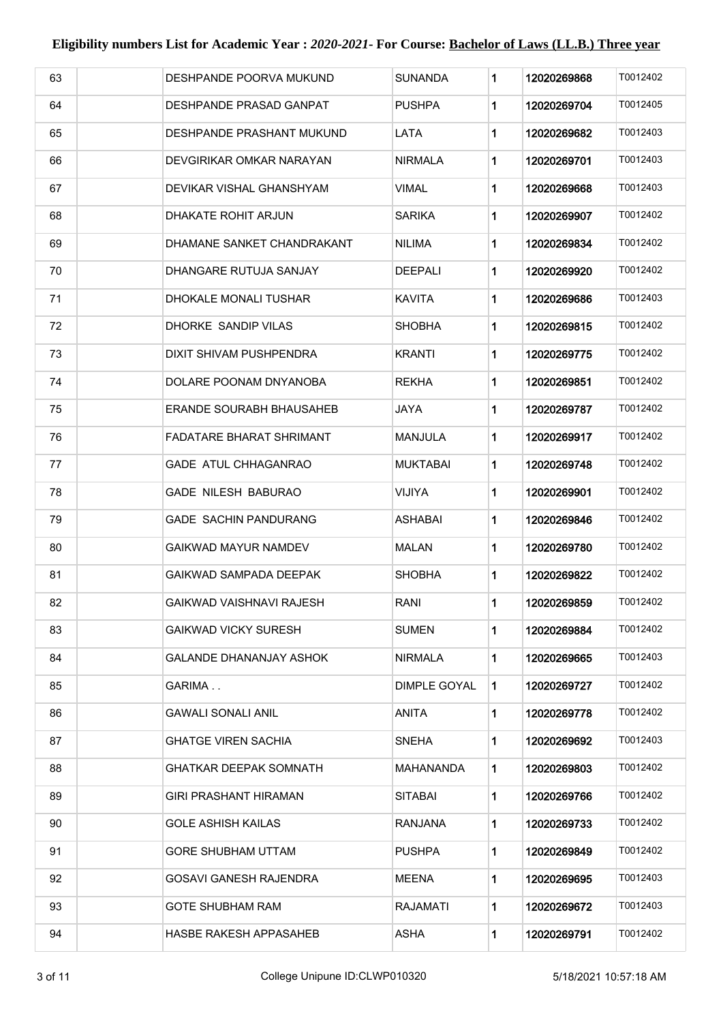| 63 | DESHPANDE POORVA MUKUND          | SUNANDA             | 1           | 12020269868 | T0012402 |
|----|----------------------------------|---------------------|-------------|-------------|----------|
| 64 | DESHPANDE PRASAD GANPAT          | PUSHPA              | 1           | 12020269704 | T0012405 |
| 65 | <b>DESHPANDE PRASHANT MUKUND</b> | LATA                | 1           | 12020269682 | T0012403 |
| 66 | DEVGIRIKAR OMKAR NARAYAN         | NIRMALA             | 1           | 12020269701 | T0012403 |
| 67 | DEVIKAR VISHAL GHANSHYAM         | VIMAL               | 1           | 12020269668 | T0012403 |
| 68 | DHAKATE ROHIT ARJUN              | SARIKA              | 1           | 12020269907 | T0012402 |
| 69 | DHAMANE SANKET CHANDRAKANT       | <b>NILIMA</b>       | 1           | 12020269834 | T0012402 |
| 70 | DHANGARE RUTUJA SANJAY           | <b>DEEPALI</b>      | 1           | 12020269920 | T0012402 |
| 71 | DHOKALE MONALI TUSHAR            | <b>KAVITA</b>       | 1           | 12020269686 | T0012403 |
| 72 | DHORKE SANDIP VILAS              | <b>SHOBHA</b>       | 1           | 12020269815 | T0012402 |
| 73 | DIXIT SHIVAM PUSHPENDRA          | KRANTI              | 1           | 12020269775 | T0012402 |
| 74 | DOLARE POONAM DNYANOBA           | REKHA               | 1           | 12020269851 | T0012402 |
| 75 | ERANDE SOURABH BHAUSAHEB         | JAYA                | 1           | 12020269787 | T0012402 |
| 76 | <b>FADATARE BHARAT SHRIMANT</b>  | MANJULA             | 1           | 12020269917 | T0012402 |
| 77 | <b>GADE ATUL CHHAGANRAO</b>      | MUKTABAI            | 1           | 12020269748 | T0012402 |
| 78 | <b>GADE NILESH BABURAO</b>       | <b>VIJIYA</b>       | 1           | 12020269901 | T0012402 |
| 79 | <b>GADE SACHIN PANDURANG</b>     | ASHABAI             | 1           | 12020269846 | T0012402 |
| 80 | GAIKWAD MAYUR NAMDEV             | MALAN               | 1           | 12020269780 | T0012402 |
| 81 | GAIKWAD SAMPADA DEEPAK           | SHOBHA              | 1           | 12020269822 | T0012402 |
| 82 | GAIKWAD VAISHNAVI RAJESH         | RANI                | 1           | 12020269859 | T0012402 |
| 83 | GAIKWAD VICKY SURESH             | <b>SUMEN</b>        | 1           | 12020269884 | T0012402 |
| 84 | <b>GALANDE DHANANJAY ASHOK</b>   | <b>NIRMALA</b>      | 1           | 12020269665 | T0012403 |
| 85 | GARIMA                           | <b>DIMPLE GOYAL</b> | $\mathbf 1$ | 12020269727 | T0012402 |
| 86 | GAWALI SONALI ANIL               | ANITA               | 1           | 12020269778 | T0012402 |
| 87 | <b>GHATGE VIREN SACHIA</b>       | <b>SNEHA</b>        | 1           | 12020269692 | T0012403 |
| 88 | <b>GHATKAR DEEPAK SOMNATH</b>    | MAHANANDA           | 1           | 12020269803 | T0012402 |
| 89 | <b>GIRI PRASHANT HIRAMAN</b>     | <b>SITABAI</b>      | 1           | 12020269766 | T0012402 |
| 90 | GOLE ASHISH KAILAS               | RANJANA             | 1           | 12020269733 | T0012402 |
| 91 | <b>GORE SHUBHAM UTTAM</b>        | <b>PUSHPA</b>       | 1           | 12020269849 | T0012402 |
| 92 | GOSAVI GANESH RAJENDRA           | <b>MEENA</b>        | 1           | 12020269695 | T0012403 |
| 93 | <b>GOTE SHUBHAM RAM</b>          | <b>RAJAMATI</b>     | 1           | 12020269672 | T0012403 |
| 94 | <b>HASBE RAKESH APPASAHEB</b>    | ASHA                | 1           | 12020269791 | T0012402 |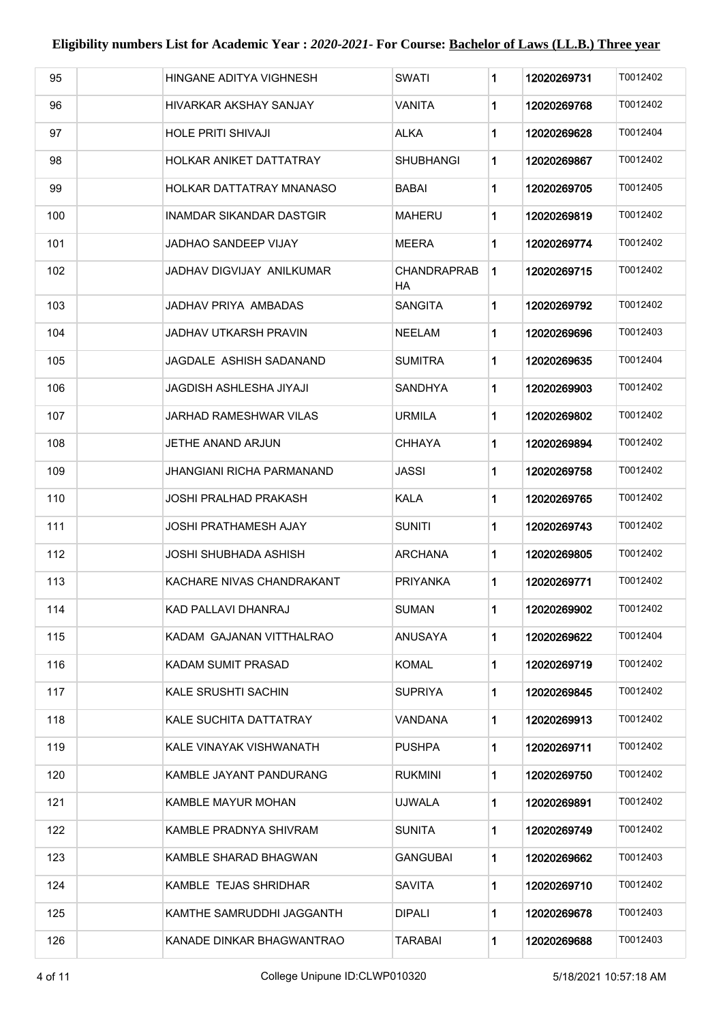| 95  |                           | HINGANE ADITYA VIGHNESH          | SWATI                    | 1 | 12020269731 | T0012402 |
|-----|---------------------------|----------------------------------|--------------------------|---|-------------|----------|
|     |                           |                                  |                          |   |             |          |
| 96  |                           | HIVARKAR AKSHAY SANJAY           | VANITA                   | 1 | 12020269768 | T0012402 |
| 97  | <b>HOLE PRITI SHIVAJI</b> |                                  | <b>ALKA</b>              | 1 | 12020269628 | T0012404 |
| 98  |                           | HOLKAR ANIKET DATTATRAY          | SHUBHANGI                | 1 | 12020269867 | T0012402 |
| 99  |                           | HOLKAR DATTATRAY MNANASO         | BABAI                    | 1 | 12020269705 | T0012405 |
| 100 |                           | INAMDAR SIKANDAR DASTGIR         | MAHERU                   | 1 | 12020269819 | T0012402 |
| 101 |                           | JADHAO SANDEEP VIJAY             | MEERA                    | 1 | 12020269774 | T0012402 |
| 102 |                           | JADHAV DIGVIJAY ANILKUMAR        | <b>CHANDRAPRAB</b><br>ΗA | 1 | 12020269715 | T0012402 |
| 103 |                           | JADHAV PRIYA AMBADAS             | <b>SANGITA</b>           | 1 | 12020269792 | T0012402 |
| 104 |                           | JADHAV UTKARSH PRAVIN            | NEELAM                   | 1 | 12020269696 | T0012403 |
| 105 |                           | JAGDALE ASHISH SADANAND          | <b>SUMITRA</b>           | 1 | 12020269635 | T0012404 |
| 106 |                           | JAGDISH ASHLESHA JIYAJI          | SANDHYA                  | 1 | 12020269903 | T0012402 |
| 107 |                           | <b>JARHAD RAMESHWAR VILAS</b>    | URMILA                   | 1 | 12020269802 | T0012402 |
| 108 | JETHE ANAND ARJUN         |                                  | CHHAYA                   | 1 | 12020269894 | T0012402 |
| 109 |                           | <b>JHANGIANI RICHA PARMANAND</b> | JASSI                    | 1 | 12020269758 | T0012402 |
| 110 |                           | JOSHI PRALHAD PRAKASH            | <b>KALA</b>              | 1 | 12020269765 | T0012402 |
| 111 |                           | JOSHI PRATHAMESH AJAY            | SUNITI                   | 1 | 12020269743 | T0012402 |
| 112 |                           | JOSHI SHUBHADA ASHISH            | <b>ARCHANA</b>           | 1 | 12020269805 | T0012402 |
| 113 |                           | KACHARE NIVAS CHANDRAKANT        | PRIYANKA                 | 1 | 12020269771 | T0012402 |
| 114 | KAD PALLAVI DHANRAJ       |                                  | SUMAN                    | 1 | 12020269902 | T0012402 |
| 115 |                           | KADAM GAJANAN VITTHALRAO         | ANUSAYA                  | 1 | 12020269622 | T0012404 |
| 116 | KADAM SUMIT PRASAD        |                                  | KOMAL                    | 1 | 12020269719 | T0012402 |
| 117 | KALE SRUSHTI SACHIN       |                                  | <b>SUPRIYA</b>           | 1 | 12020269845 | T0012402 |
| 118 |                           | KALE SUCHITA DATTATRAY           | VANDANA                  | 1 | 12020269913 | T0012402 |
| 119 |                           | KALE VINAYAK VISHWANATH          | PUSHPA                   | 1 | 12020269711 | T0012402 |
| 120 |                           | KAMBLE JAYANT PANDURANG          | RUKMINI                  | 1 | 12020269750 | T0012402 |
| 121 | KAMBLE MAYUR MOHAN        |                                  | <b>UJWALA</b>            | 1 | 12020269891 | T0012402 |
| 122 |                           | KAMBLE PRADNYA SHIVRAM           | SUNITA                   | 1 | 12020269749 | T0012402 |
| 123 |                           | KAMBLE SHARAD BHAGWAN            | GANGUBAI                 | 1 | 12020269662 | T0012403 |
| 124 |                           | KAMBLE TEJAS SHRIDHAR            | SAVITA                   | 1 | 12020269710 | T0012402 |
| 125 |                           | KAMTHE SAMRUDDHI JAGGANTH        | DIPALI                   | 1 | 12020269678 | T0012403 |
| 126 |                           | KANADE DINKAR BHAGWANTRAO        | TARABAI                  | 1 | 12020269688 | T0012403 |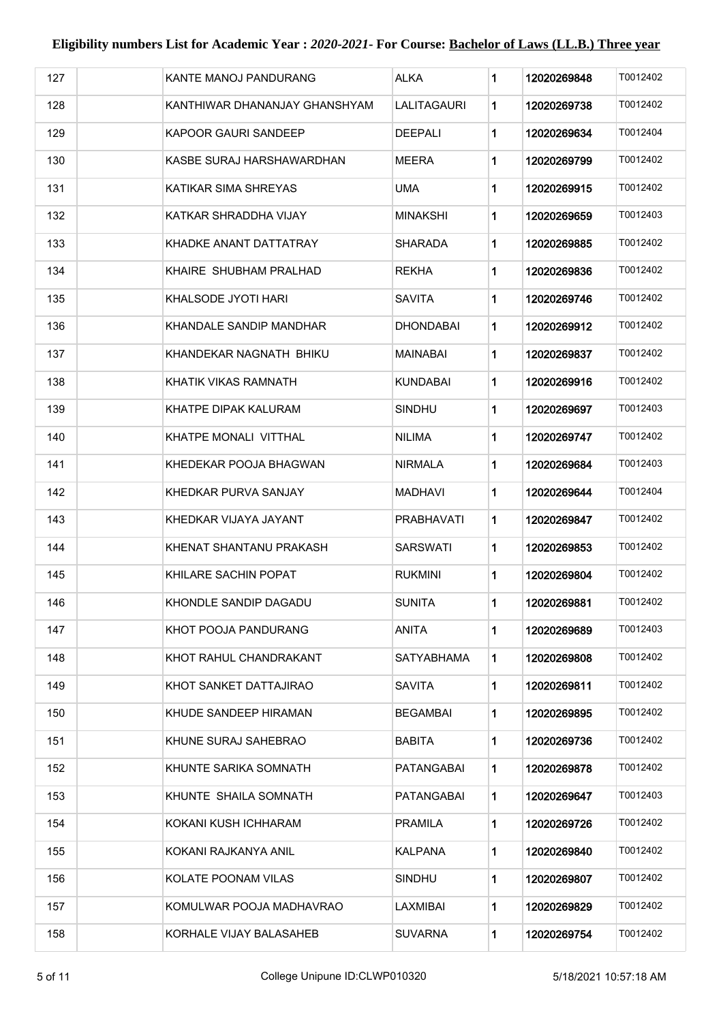| 127 | KANTE MANOJ PANDURANG         | <b>ALKA</b>     | 1 | 12020269848 | T0012402 |
|-----|-------------------------------|-----------------|---|-------------|----------|
| 128 | KANTHIWAR DHANANJAY GHANSHYAM | LALITAGAURI     | 1 | 12020269738 | T0012402 |
| 129 | KAPOOR GAURI SANDEEP          | <b>DEEPALI</b>  | 1 | 12020269634 | T0012404 |
| 130 | KASBE SURAJ HARSHAWARDHAN     | MEERA           | 1 | 12020269799 | T0012402 |
| 131 | KATIKAR SIMA SHREYAS          | UMA             | 1 | 12020269915 | T0012402 |
| 132 | KATKAR SHRADDHA VIJAY         | MINAKSHI        | 1 | 12020269659 | T0012403 |
| 133 | KHADKE ANANT DATTATRAY        | SHARADA         | 1 | 12020269885 | T0012402 |
| 134 | KHAIRE SHUBHAM PRALHAD        | <b>REKHA</b>    | 1 | 12020269836 | T0012402 |
| 135 | KHALSODE JYOTI HARI           | SAVITA          | 1 | 12020269746 | T0012402 |
| 136 | KHANDALE SANDIP MANDHAR       | DHONDABAI       | 1 | 12020269912 | T0012402 |
| 137 | KHANDEKAR NAGNATH BHIKU       | <b>MAINABAI</b> | 1 | 12020269837 | T0012402 |
| 138 | KHATIK VIKAS RAMNATH          | KUNDABAI        | 1 | 12020269916 | T0012402 |
| 139 | KHATPE DIPAK KALURAM          | <b>SINDHU</b>   | 1 | 12020269697 | T0012403 |
| 140 | KHATPE MONALI VITTHAL         | <b>NILIMA</b>   | 1 | 12020269747 | T0012402 |
| 141 | KHEDEKAR POOJA BHAGWAN        | NIRMALA         | 1 | 12020269684 | T0012403 |
| 142 | KHEDKAR PURVA SANJAY          | <b>MADHAVI</b>  | 1 | 12020269644 | T0012404 |
| 143 | KHEDKAR VIJAYA JAYANT         | PRABHAVATI      | 1 | 12020269847 | T0012402 |
| 144 | KHENAT SHANTANU PRAKASH       | SARSWATI        | 1 | 12020269853 | T0012402 |
| 145 | KHILARE SACHIN POPAT          | <b>RUKMINI</b>  | 1 | 12020269804 | T0012402 |
| 146 | KHONDLE SANDIP DAGADU         | <b>SUNITA</b>   | 1 | 12020269881 | T0012402 |
| 147 | KHOT POOJA PANDURANG          | ANITA           | 1 | 12020269689 | T0012403 |
| 148 | KHOT RAHUL CHANDRAKANT        | SATYABHAMA      | 1 | 12020269808 | T0012402 |
| 149 | KHOT SANKET DATTAJIRAO        | SAVITA          | 1 | 12020269811 | T0012402 |
| 150 | KHUDE SANDEEP HIRAMAN         | BEGAMBAI        | 1 | 12020269895 | T0012402 |
| 151 | KHUNE SURAJ SAHEBRAO          | <b>BABITA</b>   | 1 | 12020269736 | T0012402 |
| 152 | KHUNTE SARIKA SOMNATH         | PATANGABAI      | 1 | 12020269878 | T0012402 |
| 153 | KHUNTE SHAILA SOMNATH         | PATANGABAI      | 1 | 12020269647 | T0012403 |
| 154 | KOKANI KUSH ICHHARAM          | PRAMILA         | 1 | 12020269726 | T0012402 |
| 155 | KOKANI RAJKANYA ANIL          | KALPANA         | 1 | 12020269840 | T0012402 |
| 156 | KOLATE POONAM VILAS           | SINDHU          | 1 | 12020269807 | T0012402 |
| 157 | KOMULWAR POOJA MADHAVRAO      | LAXMIBAI        | 1 | 12020269829 | T0012402 |
| 158 | KORHALE VIJAY BALASAHEB       | <b>SUVARNA</b>  | 1 | 12020269754 | T0012402 |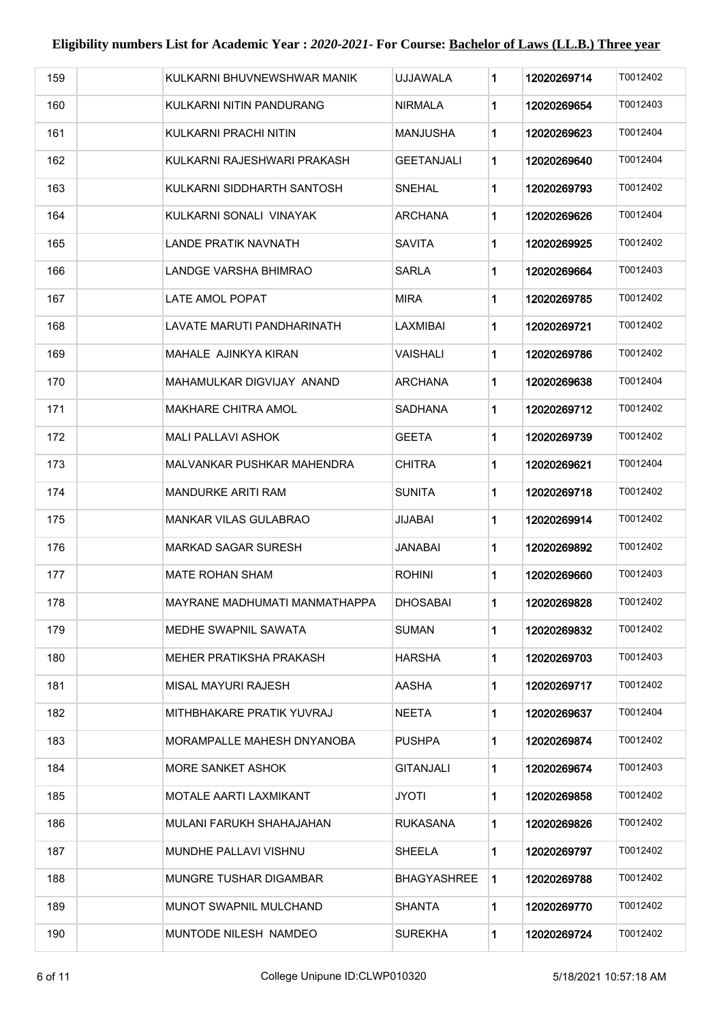| 159 | KULKARNI BHUVNEWSHWAR MANIK   | UJJAWALA           | 1 | 12020269714 | T0012402 |
|-----|-------------------------------|--------------------|---|-------------|----------|
| 160 | KULKARNI NITIN PANDURANG      | NIRMALA            | 1 | 12020269654 | T0012403 |
| 161 | KULKARNI PRACHI NITIN         | MANJUSHA           | 1 | 12020269623 | T0012404 |
| 162 | KULKARNI RAJESHWARI PRAKASH   | GEETANJALI         | 1 | 12020269640 | T0012404 |
| 163 | KULKARNI SIDDHARTH SANTOSH    | SNEHAL             | 1 | 12020269793 | T0012402 |
| 164 | KULKARNI SONALI VINAYAK       | ARCHANA            | 1 | 12020269626 | T0012404 |
| 165 | LANDE PRATIK NAVNATH          | SAVITA             | 1 | 12020269925 | T0012402 |
| 166 | LANDGE VARSHA BHIMRAO         | SARLA              | 1 | 12020269664 | T0012403 |
| 167 | <b>LATE AMOL POPAT</b>        | <b>MIRA</b>        | 1 | 12020269785 | T0012402 |
| 168 | LAVATE MARUTI PANDHARINATH    | LAXMIBAI           | 1 | 12020269721 | T0012402 |
| 169 | MAHALE AJINKYA KIRAN          | VAISHALI           | 1 | 12020269786 | T0012402 |
| 170 | MAHAMULKAR DIGVIJAY ANAND     | ARCHANA            | 1 | 12020269638 | T0012404 |
| 171 | MAKHARE CHITRA AMOL           | SADHANA            | 1 | 12020269712 | T0012402 |
| 172 | <b>MALI PALLAVI ASHOK</b>     | GEETA              | 1 | 12020269739 | T0012402 |
| 173 | MALVANKAR PUSHKAR MAHENDRA    | CHITRA             | 1 | 12020269621 | T0012404 |
| 174 | MANDURKE ARITI RAM            | SUNITA             | 1 | 12020269718 | T0012402 |
| 175 | MANKAR VILAS GULABRAO         | JIJABAI            | 1 | 12020269914 | T0012402 |
| 176 | MARKAD SAGAR SURESH           | JANABAI            | 1 | 12020269892 | T0012402 |
| 177 | MATE ROHAN SHAM               | ROHINI             | 1 | 12020269660 | T0012403 |
| 178 | MAYRANE MADHUMATI MANMATHAPPA | DHOSABAI           | 1 | 12020269828 | T0012402 |
| 179 | MEDHE SWAPNIL SAWATA          | SUMAN              | 1 | 12020269832 | T0012402 |
| 180 | MEHER PRATIKSHA PRAKASH       | HARSHA             | 1 | 12020269703 | T0012403 |
| 181 | MISAL MAYURI RAJESH           | AASHA              | 1 | 12020269717 | T0012402 |
| 182 | MITHBHAKARE PRATIK YUVRAJ     | <b>NEETA</b>       | 1 | 12020269637 | T0012404 |
| 183 | MORAMPALLE MAHESH DNYANOBA    | PUSHPA             | 1 | 12020269874 | T0012402 |
| 184 | <b>MORE SANKET ASHOK</b>      | <b>GITANJALI</b>   | 1 | 12020269674 | T0012403 |
| 185 | MOTALE AARTI LAXMIKANT        | JYOTI              | 1 | 12020269858 | T0012402 |
| 186 | MULANI FARUKH SHAHAJAHAN      | RUKASANA           | 1 | 12020269826 | T0012402 |
| 187 | MUNDHE PALLAVI VISHNU         | SHEELA             | 1 | 12020269797 | T0012402 |
| 188 | MUNGRE TUSHAR DIGAMBAR        | <b>BHAGYASHREE</b> | 1 | 12020269788 | T0012402 |
| 189 | MUNOT SWAPNIL MULCHAND        | SHANTA             | 1 | 12020269770 | T0012402 |
| 190 | MUNTODE NILESH NAMDEO         | <b>SUREKHA</b>     | 1 | 12020269724 | T0012402 |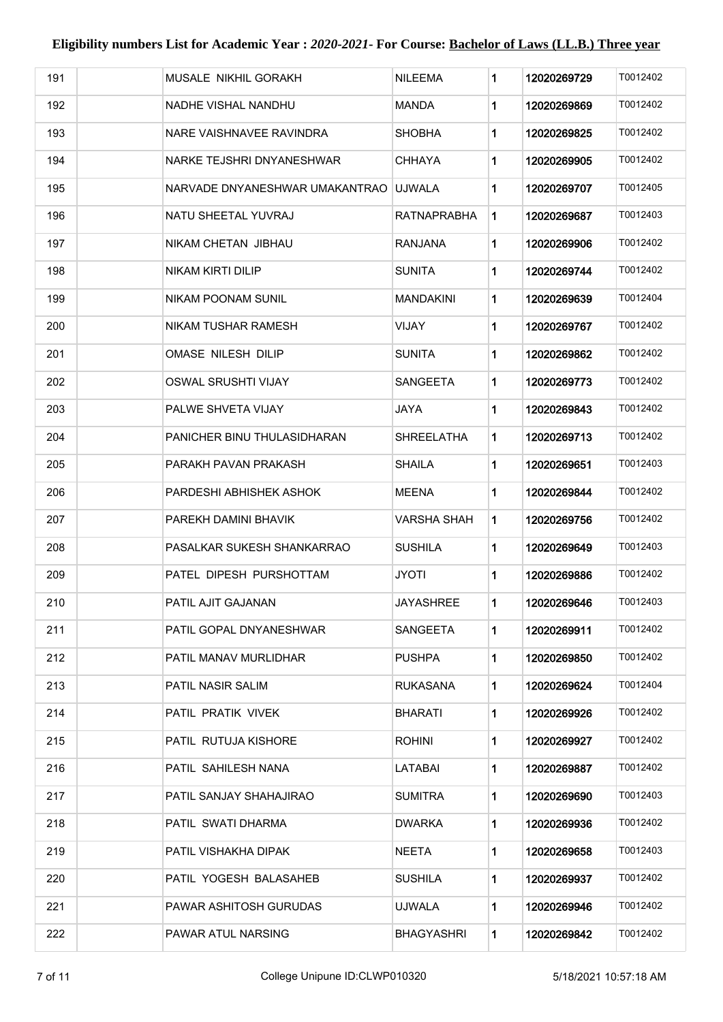| 191 | MUSALE NIKHIL GORAKH           | NILEEMA         | 1                        | 12020269729 | T0012402 |
|-----|--------------------------------|-----------------|--------------------------|-------------|----------|
| 192 | NADHE VISHAL NANDHU            | MANDA           | 1                        | 12020269869 | T0012402 |
| 193 | NARE VAISHNAVEE RAVINDRA       | <b>SHOBHA</b>   | 1                        | 12020269825 | T0012402 |
| 194 | NARKE TEJSHRI DNYANESHWAR      | CHHAYA          | 1                        | 12020269905 | T0012402 |
| 195 | NARVADE DNYANESHWAR UMAKANTRAO | <b>UJWALA</b>   | 1                        | 12020269707 | T0012405 |
| 196 | NATU SHEETAL YUVRAJ            |                 | <b>RATNAPRABHA</b><br>1. | 12020269687 | T0012403 |
| 197 | NIKAM CHETAN JIBHAU            | <b>RANJANA</b>  | 1                        | 12020269906 | T0012402 |
| 198 | <b>NIKAM KIRTI DILIP</b>       | SUNITA          | $\mathbf 1$              | 12020269744 | T0012402 |
| 199 | NIKAM POONAM SUNIL             | MANDAKINI       | 1                        | 12020269639 | T0012404 |
| 200 | NIKAM TUSHAR RAMESH            | VIJAY           | 1                        | 12020269767 | T0012402 |
| 201 | OMASE NILESH DILIP             | <b>SUNITA</b>   | 1                        | 12020269862 | T0012402 |
| 202 | <b>OSWAL SRUSHTI VIJAY</b>     | <b>SANGEETA</b> | 1                        | 12020269773 | T0012402 |
| 203 | PALWE SHVETA VIJAY             | <b>JAYA</b>     | 1                        | 12020269843 | T0012402 |
| 204 | PANICHER BINU THULASIDHARAN    |                 | <b>SHREELATHA</b><br>1   | 12020269713 | T0012402 |
| 205 | PARAKH PAVAN PRAKASH           | SHAILA          | 1                        | 12020269651 | T0012403 |
| 206 | PARDESHI ABHISHEK ASHOK        | MEENA           | 1                        | 12020269844 | T0012402 |
| 207 | PAREKH DAMINI BHAVIK           |                 | <b>VARSHA SHAH</b><br>1  | 12020269756 | T0012402 |
| 208 | PASALKAR SUKESH SHANKARRAO     | <b>SUSHILA</b>  | 1                        | 12020269649 | T0012403 |
| 209 | PATEL DIPESH PURSHOTTAM        | <b>JYOTI</b>    | 1                        | 12020269886 | T0012402 |
| 210 | PATIL AJIT GAJANAN             | JAYASHREE       | 1                        | 12020269646 | T0012403 |
| 211 | PATIL GOPAL DNYANESHWAR        | SANGEETA        | 1                        | 12020269911 | T0012402 |
| 212 | PATIL MANAV MURLIDHAR          | PUSHPA          | 1                        | 12020269850 | T0012402 |
| 213 | <b>PATIL NASIR SALIM</b>       | RUKASANA        | 1                        | 12020269624 | T0012404 |
| 214 | PATIL PRATIK VIVEK             | BHARATI         | 1                        | 12020269926 | T0012402 |
| 215 | PATIL RUTUJA KISHORE           | <b>ROHINI</b>   | 1.                       | 12020269927 | T0012402 |
| 216 | PATIL SAHILESH NANA            | LATABAI         | 1                        | 12020269887 | T0012402 |
| 217 | PATIL SANJAY SHAHAJIRAO        | SUMITRA         | 1                        | 12020269690 | T0012403 |
| 218 | PATIL SWATI DHARMA             | DWARKA          | 1                        | 12020269936 | T0012402 |
| 219 | PATIL VISHAKHA DIPAK           | NEETA           | 1.                       | 12020269658 | T0012403 |
| 220 | PATIL YOGESH BALASAHEB         | <b>SUSHILA</b>  | 1                        | 12020269937 | T0012402 |
| 221 | PAWAR ASHITOSH GURUDAS         | UJWALA          | 1                        | 12020269946 | T0012402 |
| 222 | PAWAR ATUL NARSING             |                 | 1<br>BHAGYASHRI          | 12020269842 | T0012402 |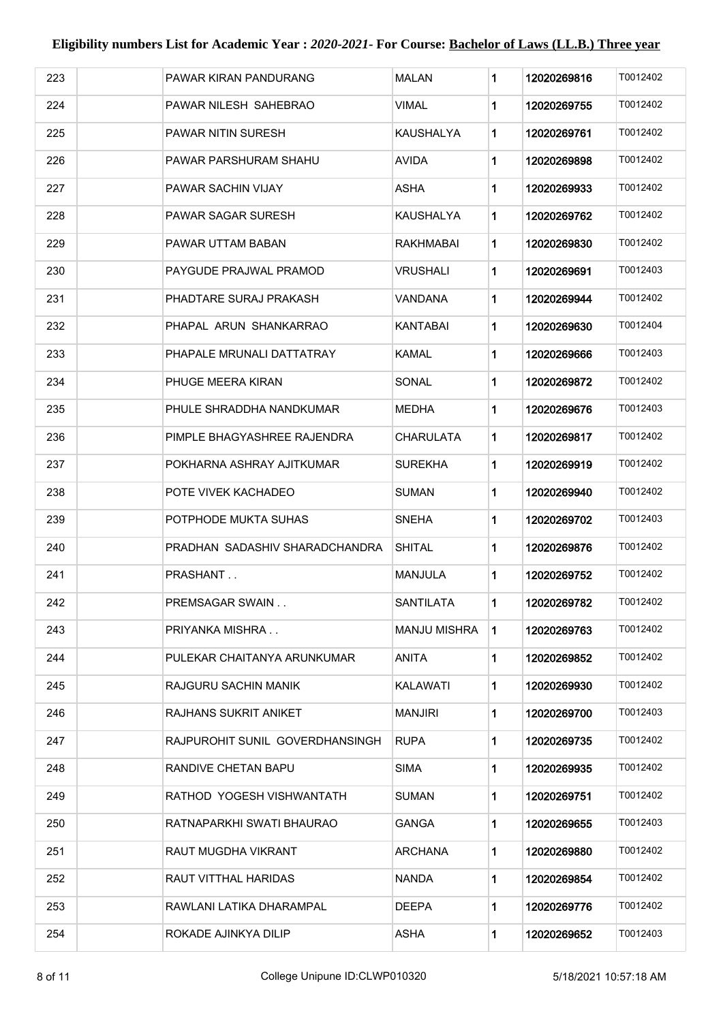| 223 | PAWAR KIRAN PANDURANG           | <b>MALAN</b>     | 1              | 12020269816 | T0012402 |
|-----|---------------------------------|------------------|----------------|-------------|----------|
| 224 | PAWAR NILESH SAHEBRAO           | <b>VIMAL</b>     | $\mathbf 1$    | 12020269755 | T0012402 |
| 225 | PAWAR NITIN SURESH              | KAUSHALYA        | 1              | 12020269761 | T0012402 |
| 226 | PAWAR PARSHURAM SHAHU           | <b>AVIDA</b>     | $\mathbf 1$    | 12020269898 | T0012402 |
| 227 | PAWAR SACHIN VIJAY              | <b>ASHA</b>      | 1              | 12020269933 | T0012402 |
| 228 | PAWAR SAGAR SURESH              | KAUSHALYA        | $\mathbf 1$    | 12020269762 | T0012402 |
| 229 | PAWAR UTTAM BABAN               | RAKHMABAI        | 1              | 12020269830 | T0012402 |
| 230 | PAYGUDE PRAJWAL PRAMOD          | VRUSHALI         | $\mathbf 1$    | 12020269691 | T0012403 |
| 231 | PHADTARE SURAJ PRAKASH          | VANDANA          | $\mathbf 1$    | 12020269944 | T0012402 |
| 232 | PHAPAL ARUN SHANKARRAO          | KANTABAI         | $\mathbf 1$    | 12020269630 | T0012404 |
| 233 | PHAPALE MRUNALI DATTATRAY       | <b>KAMAL</b>     | 1              | 12020269666 | T0012403 |
| 234 | PHUGE MEERA KIRAN               | SONAL            | 1              | 12020269872 | T0012402 |
| 235 | PHULE SHRADDHA NANDKUMAR        | <b>MEDHA</b>     | 1              | 12020269676 | T0012403 |
| 236 | PIMPLE BHAGYASHREE RAJENDRA     | CHARULATA        | $\mathbf 1$    | 12020269817 | T0012402 |
| 237 | POKHARNA ASHRAY AJITKUMAR       | <b>SUREKHA</b>   | $\mathbf 1$    | 12020269919 | T0012402 |
| 238 | POTE VIVEK KACHADEO             | SUMAN            | $\mathbf 1$    | 12020269940 | T0012402 |
| 239 | POTPHODE MUKTA SUHAS            | SNEHA            | $\mathbf 1$    | 12020269702 | T0012403 |
| 240 | PRADHAN SADASHIV SHARADCHANDRA  | <b>SHITAL</b>    | $\mathbf 1$    | 12020269876 | T0012402 |
| 241 | PRASHANT                        | <b>MANJULA</b>   | $\mathbf 1$    | 12020269752 | T0012402 |
| 242 | PREMSAGAR SWAIN                 | <b>SANTILATA</b> | 1              | 12020269782 | T0012402 |
| 243 | PRIYANKA MISHRA                 | MANJU MISHRA     | $\blacksquare$ | 12020269763 | T0012402 |
| 244 | PULEKAR CHAITANYA ARUNKUMAR     | ANITA            | $\mathbf 1$    | 12020269852 | T0012402 |
| 245 | RAJGURU SACHIN MANIK            | KALAWATI         | 1              | 12020269930 | T0012402 |
| 246 | RAJHANS SUKRIT ANIKET           | MANJIRI          | $\mathbf 1$    | 12020269700 | T0012403 |
| 247 | RAJPUROHIT SUNIL GOVERDHANSINGH | <b>RUPA</b>      | $\mathbf 1$    | 12020269735 | T0012402 |
| 248 | RANDIVE CHETAN BAPU             | <b>SIMA</b>      | $\mathbf 1$    | 12020269935 | T0012402 |
| 249 | RATHOD YOGESH VISHWANTATH       | <b>SUMAN</b>     | 1              | 12020269751 | T0012402 |
| 250 | RATNAPARKHI SWATI BHAURAO       | <b>GANGA</b>     | 1              | 12020269655 | T0012403 |
| 251 | RAUT MUGDHA VIKRANT             | <b>ARCHANA</b>   | 1              | 12020269880 | T0012402 |
| 252 | RAUT VITTHAL HARIDAS            | <b>NANDA</b>     | $\mathbf{1}$   | 12020269854 | T0012402 |
| 253 | RAWLANI LATIKA DHARAMPAL        | <b>DEEPA</b>     | $\mathbf 1$    | 12020269776 | T0012402 |
| 254 | ROKADE AJINKYA DILIP            | <b>ASHA</b>      | 1              | 12020269652 | T0012403 |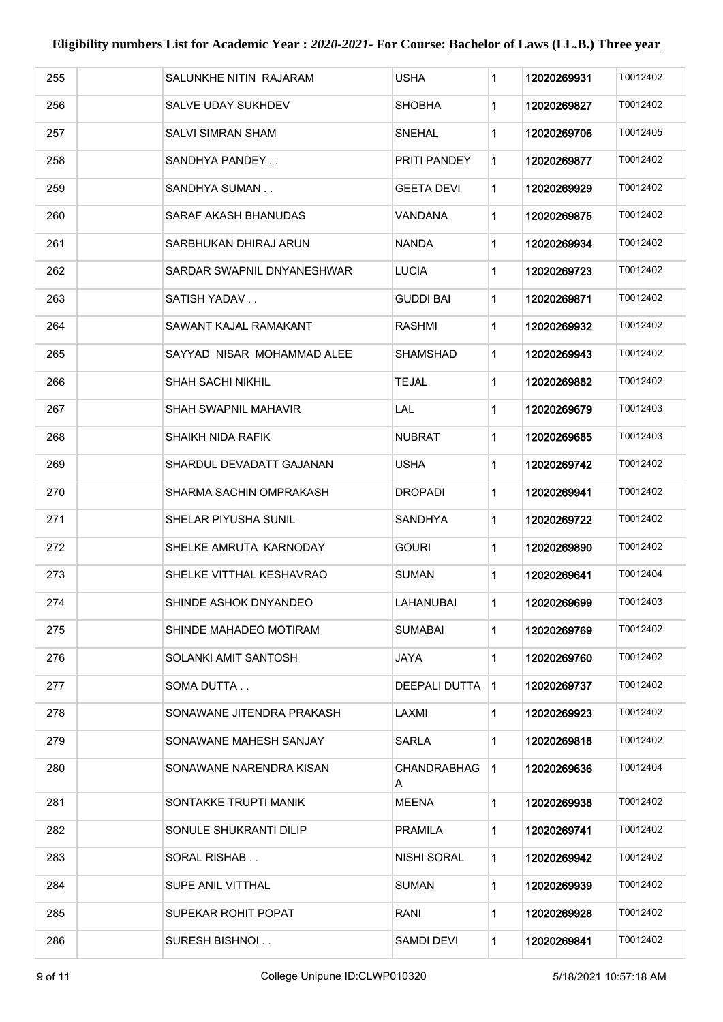| 255 | SALUNKHE NITIN RAJARAM     | <b>USHA</b>             | 1              | 12020269931 | T0012402 |
|-----|----------------------------|-------------------------|----------------|-------------|----------|
| 256 | SALVE UDAY SUKHDEV         | <b>SHOBHA</b>           | $\mathbf 1$    | 12020269827 | T0012402 |
| 257 | SALVI SIMRAN SHAM          | <b>SNEHAL</b>           | 1              | 12020269706 | T0012405 |
| 258 | SANDHYA PANDEY             | PRITI PANDEY            | $\mathbf 1$    | 12020269877 | T0012402 |
| 259 | SANDHYA SUMAN              | <b>GEETA DEVI</b>       | $\mathbf{1}$   | 12020269929 | T0012402 |
| 260 | SARAF AKASH BHANUDAS       | VANDANA                 | $\mathbf 1$    | 12020269875 | T0012402 |
| 261 | SARBHUKAN DHIRAJ ARUN      | NANDA                   | $\mathbf 1$    | 12020269934 | T0012402 |
| 262 | SARDAR SWAPNIL DNYANESHWAR | <b>LUCIA</b>            | 1              | 12020269723 | T0012402 |
| 263 | SATISH YADAV               | <b>GUDDI BAI</b>        | $\mathbf 1$    | 12020269871 | T0012402 |
| 264 | SAWANT KAJAL RAMAKANT      | <b>RASHMI</b>           | $\mathbf 1$    | 12020269932 | T0012402 |
| 265 | SAYYAD NISAR MOHAMMAD ALEE | <b>SHAMSHAD</b>         | 1              | 12020269943 | T0012402 |
| 266 | <b>SHAH SACHI NIKHIL</b>   | TEJAL                   | $\mathbf 1$    | 12020269882 | T0012402 |
| 267 | SHAH SWAPNIL MAHAVIR       | LAL                     | 1              | 12020269679 | T0012403 |
| 268 | SHAIKH NIDA RAFIK          | <b>NUBRAT</b>           | 1              | 12020269685 | T0012403 |
| 269 | SHARDUL DEVADATT GAJANAN   | <b>USHA</b>             | $\mathbf 1$    | 12020269742 | T0012402 |
| 270 | SHARMA SACHIN OMPRAKASH    | <b>DROPADI</b>          | $\mathbf 1$    | 12020269941 | T0012402 |
| 271 | SHELAR PIYUSHA SUNIL       | SANDHYA                 | $\mathbf 1$    | 12020269722 | T0012402 |
| 272 | SHELKE AMRUTA KARNODAY     | GOURI                   | $\mathbf 1$    | 12020269890 | T0012402 |
| 273 | SHELKE VITTHAL KESHAVRAO   | <b>SUMAN</b>            | $\mathbf 1$    | 12020269641 | T0012404 |
| 274 | SHINDE ASHOK DNYANDEO      | LAHANUBAI               | 1              | 12020269699 | T0012403 |
| 275 | SHINDE MAHADEO MOTIRAM     | <b>SUMABAI</b>          | $\mathbf 1$    | 12020269769 | T0012402 |
| 276 | SOLANKI AMIT SANTOSH       | JAYA                    | $\mathbf 1$    | 12020269760 | T0012402 |
| 277 | SOMA DUTTA                 | DEEPALI DUTTA           | $\blacksquare$ | 12020269737 | T0012402 |
| 278 | SONAWANE JITENDRA PRAKASH  | LAXMI                   | 1              | 12020269923 | T0012402 |
| 279 | SONAWANE MAHESH SANJAY     | <b>SARLA</b>            | $\mathbf 1$    | 12020269818 | T0012402 |
| 280 | SONAWANE NARENDRA KISAN    | <b>CHANDRABHAG</b><br>A | $\blacksquare$ | 12020269636 | T0012404 |
| 281 | SONTAKKE TRUPTI MANIK      | <b>MEENA</b>            | 1              | 12020269938 | T0012402 |
| 282 | SONULE SHUKRANTI DILIP     | <b>PRAMILA</b>          | $\mathbf 1$    | 12020269741 | T0012402 |
| 283 | SORAL RISHAB               | NISHI SORAL             | 1              | 12020269942 | T0012402 |
| 284 | SUPE ANIL VITTHAL          | SUMAN                   | $\mathbf 1$    | 12020269939 | T0012402 |
| 285 | SUPEKAR ROHIT POPAT        | RANI                    | 1              | 12020269928 | T0012402 |
| 286 | SURESH BISHNOI             | SAMDI DEVI              | 1              | 12020269841 | T0012402 |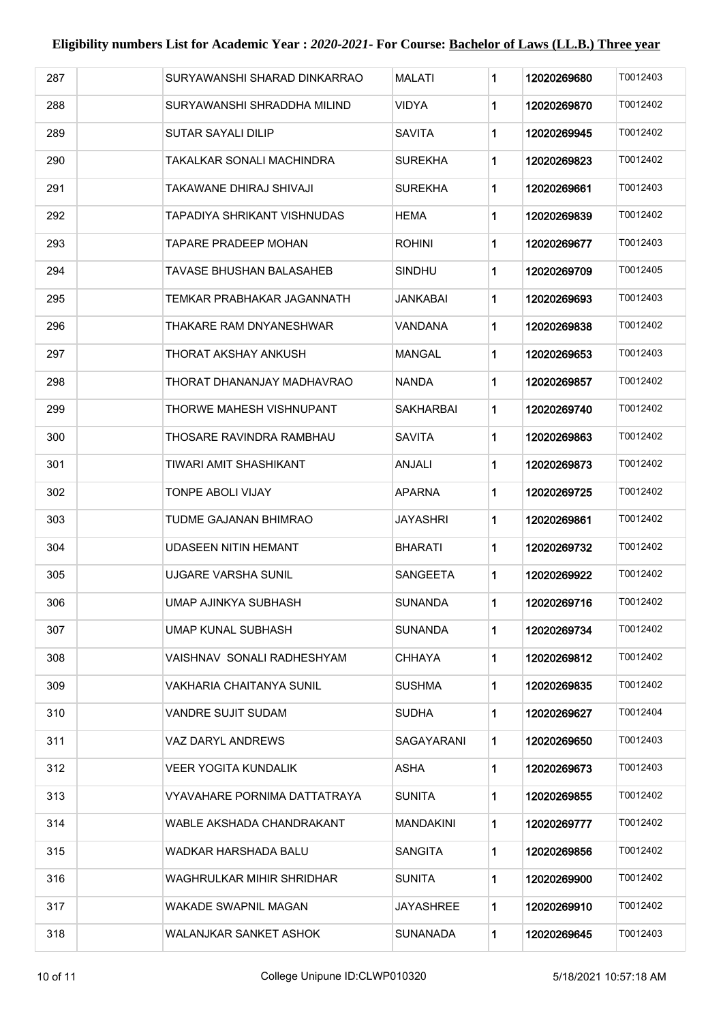| 287 | SURYAWANSHI SHARAD DINKARRAO  | MALATI          | 1           | 12020269680 | T0012403 |
|-----|-------------------------------|-----------------|-------------|-------------|----------|
| 288 | SURYAWANSHI SHRADDHA MILIND   | <b>VIDYA</b>    | 1           | 12020269870 | T0012402 |
| 289 | <b>SUTAR SAYALI DILIP</b>     | <b>SAVITA</b>   | 1           | 12020269945 | T0012402 |
| 290 | TAKALKAR SONALI MACHINDRA     | <b>SUREKHA</b>  | 1           | 12020269823 | T0012402 |
| 291 | TAKAWANE DHIRAJ SHIVAJI       | <b>SUREKHA</b>  | $\mathbf 1$ | 12020269661 | T0012403 |
| 292 | TAPADIYA SHRIKANT VISHNUDAS   | HEMA            | 1           | 12020269839 | T0012402 |
| 293 | TAPARE PRADEEP MOHAN          | <b>ROHINI</b>   | $\mathbf 1$ | 12020269677 | T0012403 |
| 294 | TAVASE BHUSHAN BALASAHEB      | SINDHU          | $\mathbf 1$ | 12020269709 | T0012405 |
| 295 | TEMKAR PRABHAKAR JAGANNATH    | JANKABAI        | $\mathbf 1$ | 12020269693 | T0012403 |
| 296 | THAKARE RAM DNYANESHWAR       | VANDANA         | $\mathbf 1$ | 12020269838 | T0012402 |
| 297 | THORAT AKSHAY ANKUSH          | MANGAL          | 1           | 12020269653 | T0012403 |
| 298 | THORAT DHANANJAY MADHAVRAO    | <b>NANDA</b>    | $\mathbf 1$ | 12020269857 | T0012402 |
| 299 | THORWE MAHESH VISHNUPANT      | SAKHARBAI       | $\mathbf 1$ | 12020269740 | T0012402 |
| 300 | THOSARE RAVINDRA RAMBHAU      | <b>SAVITA</b>   | $\mathbf 1$ | 12020269863 | T0012402 |
| 301 | TIWARI AMIT SHASHIKANT        | ANJALI          | 1           | 12020269873 | T0012402 |
| 302 | <b>TONPE ABOLI VIJAY</b>      | <b>APARNA</b>   | 1           | 12020269725 | T0012402 |
| 303 | TUDME GAJANAN BHIMRAO         | <b>JAYASHRI</b> | $\mathbf 1$ | 12020269861 | T0012402 |
| 304 | <b>UDASEEN NITIN HEMANT</b>   | <b>BHARATI</b>  | $\mathbf 1$ | 12020269732 | T0012402 |
| 305 | UJGARE VARSHA SUNIL           | SANGEETA        | $\mathbf 1$ | 12020269922 | T0012402 |
| 306 | UMAP AJINKYA SUBHASH          | SUNANDA         | 1           | 12020269716 | T0012402 |
| 307 | UMAP KUNAL SUBHASH            | SUNANDA         | $\mathbf 1$ | 12020269734 | T0012402 |
| 308 | VAISHNAV SONALI RADHESHYAM    | CHHAYA          | $\mathbf 1$ | 12020269812 | T0012402 |
| 309 | VAKHARIA CHAITANYA SUNIL      | <b>SUSHMA</b>   | $\mathbf 1$ | 12020269835 | T0012402 |
| 310 | VANDRE SUJIT SUDAM            | SUDHA           | $\mathbf 1$ | 12020269627 | T0012404 |
| 311 | VAZ DARYL ANDREWS             | SAGAYARANI      | 1           | 12020269650 | T0012403 |
| 312 | VEER YOGITA KUNDALIK          | ASHA            | $\mathbf 1$ | 12020269673 | T0012403 |
| 313 | VYAVAHARE PORNIMA DATTATRAYA  | <b>SUNITA</b>   | 1           | 12020269855 | T0012402 |
| 314 | WABLE AKSHADA CHANDRAKANT     | MANDAKINI       | 1           | 12020269777 | T0012402 |
| 315 | WADKAR HARSHADA BALU          | SANGITA         | 1           | 12020269856 | T0012402 |
| 316 | WAGHRULKAR MIHIR SHRIDHAR     | <b>SUNITA</b>   | 1           | 12020269900 | T0012402 |
| 317 | WAKADE SWAPNIL MAGAN          | JAYASHREE       | $\mathbf 1$ | 12020269910 | T0012402 |
| 318 | <b>WALANJKAR SANKET ASHOK</b> | <b>SUNANADA</b> | $\mathbf 1$ | 12020269645 | T0012403 |